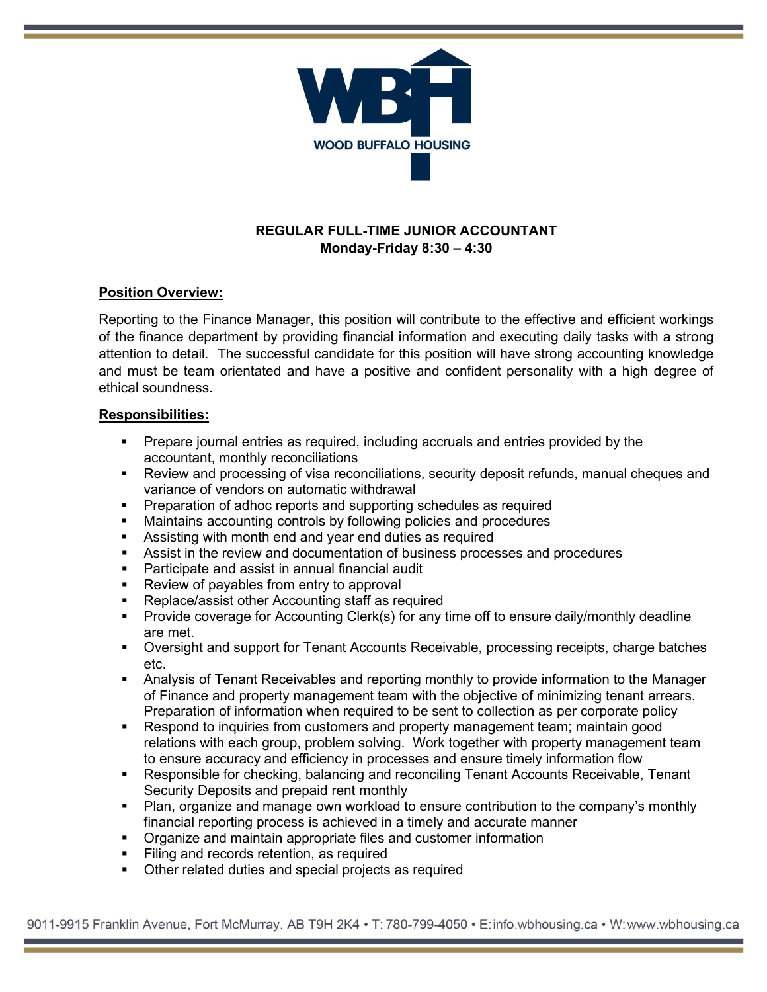

# **REGULAR FULL-TIME JUNIOR ACCOUNTANT Monday-Friday 8:30 – 4:30**

## **Position Overview:**

Reporting to the Finance Manager, this position will contribute to the effective and efficient workings of the finance department by providing financial information and executing daily tasks with a strong attention to detail. The successful candidate for this position will have strong accounting knowledge and must be team orientated and have a positive and confident personality with a high degree of ethical soundness.

### **Responsibilities:**

- Prepare journal entries as required, including accruals and entries provided by the accountant, monthly reconciliations
- Review and processing of visa reconciliations, security deposit refunds, manual cheques and variance of vendors on automatic withdrawal
- **Preparation of adhoc reports and supporting schedules as required**
- Maintains accounting controls by following policies and procedures
- Assisting with month end and year end duties as required
- Assist in the review and documentation of business processes and procedures
- Participate and assist in annual financial audit
- **Review of payables from entry to approval**
- Replace/assist other Accounting staff as required
- Provide coverage for Accounting Clerk(s) for any time off to ensure daily/monthly deadline are met.
- Oversight and support for Tenant Accounts Receivable, processing receipts, charge batches etc.
- Analysis of Tenant Receivables and reporting monthly to provide information to the Manager of Finance and property management team with the objective of minimizing tenant arrears. Preparation of information when required to be sent to collection as per corporate policy
- Respond to inquiries from customers and property management team; maintain good relations with each group, problem solving. Work together with property management team to ensure accuracy and efficiency in processes and ensure timely information flow
- Responsible for checking, balancing and reconciling Tenant Accounts Receivable, Tenant Security Deposits and prepaid rent monthly
- Plan, organize and manage own workload to ensure contribution to the company's monthly financial reporting process is achieved in a timely and accurate manner
- **•** Organize and maintain appropriate files and customer information
- **Filing and records retention, as required**
- Other related duties and special projects as required

9011-9915 Franklin Avenue, Fort McMurray, AB T9H 2K4 • T: 780-799-4050 • E:info.wbhousing.ca • W:www.wbhousing.ca